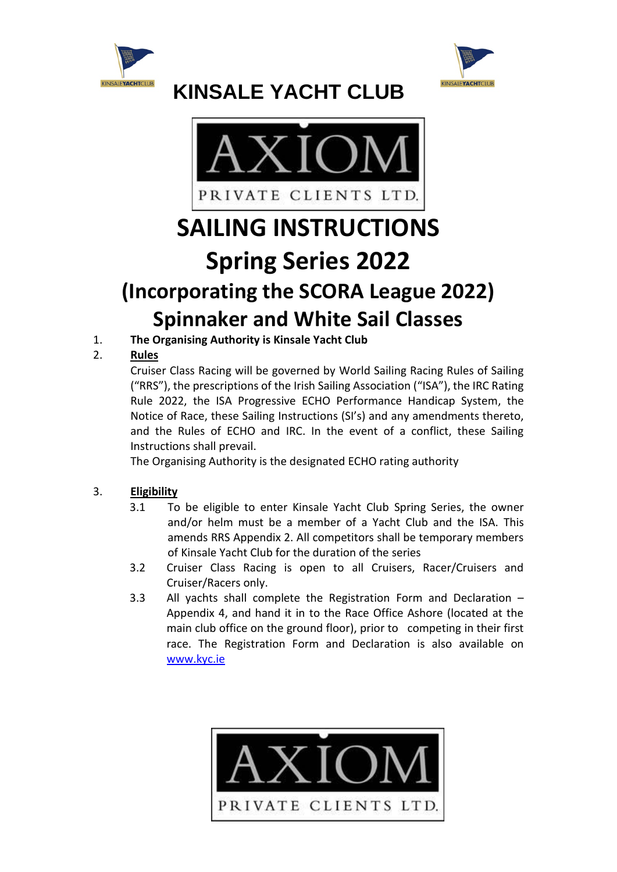





# **SAILING INSTRUCTIONS Spring Series 2022 (Incorporating the SCORA League 2022) Spinnaker and White Sail Classes**

1. **The Organising Authority is Kinsale Yacht Club**

### 2. **Rules**

Cruiser Class Racing will be governed by World Sailing Racing Rules of Sailing ("RRS"), the prescriptions of the Irish Sailing Association ("ISA"), the IRC Rating Rule 2022, the ISA Progressive ECHO Performance Handicap System, the Notice of Race, these Sailing Instructions (SI's) and any amendments thereto, and the Rules of ECHO and IRC. In the event of a conflict, these Sailing Instructions shall prevail.

The Organising Authority is the designated ECHO rating authority

#### 3. **Eligibility**

- 3.1 To be eligible to enter Kinsale Yacht Club Spring Series, the owner and/or helm must be a member of a Yacht Club and the ISA. This amends RRS Appendix 2. All competitors shall be temporary members of Kinsale Yacht Club for the duration of the series
- 3.2 Cruiser Class Racing is open to all Cruisers, Racer/Cruisers and Cruiser/Racers only.
- 3.3 All yachts shall complete the Registration Form and Declaration Appendix 4, and hand it in to the Race Office Ashore (located at the main club office on the ground floor), prior to competing in their first race. The Registration Form and Declaration is also available on [www.kyc.ie](http://www.kyc.ie/)

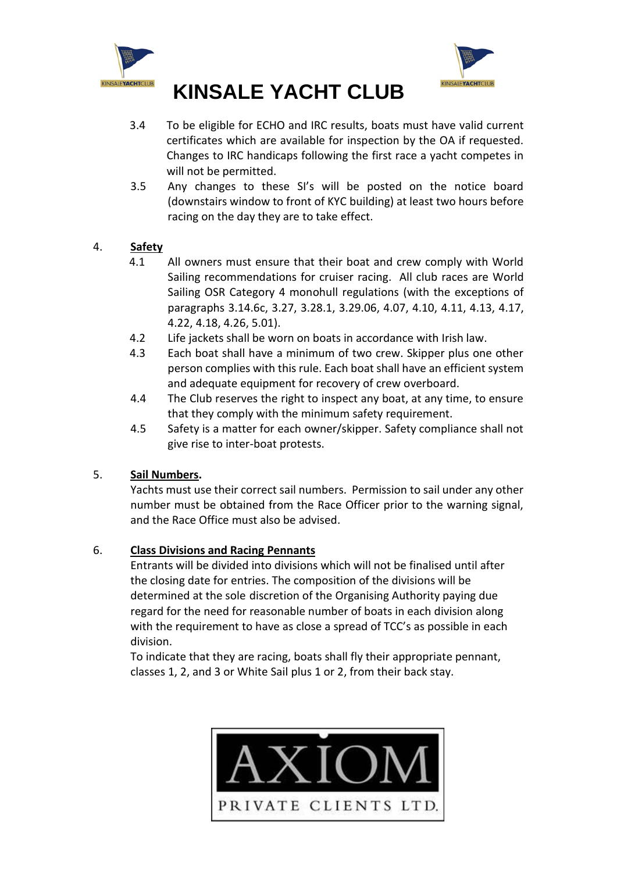



- 3.4 To be eligible for ECHO and IRC results, boats must have valid current certificates which are available for inspection by the OA if requested. Changes to IRC handicaps following the first race a yacht competes in will not be permitted.
- 3.5 Any changes to these SI's will be posted on the notice board (downstairs window to front of KYC building) at least two hours before racing on the day they are to take effect.

#### 4. **Safety**

- 4.1 All owners must ensure that their boat and crew comply with World Sailing recommendations for cruiser racing. All club races are World Sailing OSR Category 4 monohull regulations (with the exceptions of paragraphs 3.14.6c, 3.27, 3.28.1, 3.29.06, 4.07, 4.10, 4.11, 4.13, 4.17, 4.22, 4.18, 4.26, 5.01).
- 4.2 Life jackets shall be worn on boats in accordance with Irish law.
- 4.3 Each boat shall have a minimum of two crew. Skipper plus one other person complies with this rule. Each boat shall have an efficient system and adequate equipment for recovery of crew overboard.
- 4.4 The Club reserves the right to inspect any boat, at any time, to ensure that they comply with the minimum safety requirement.
- 4.5 Safety is a matter for each owner/skipper. Safety compliance shall not give rise to inter-boat protests.

#### 5. **Sail Numbers.**

Yachts must use their correct sail numbers. Permission to sail under any other number must be obtained from the Race Officer prior to the warning signal, and the Race Office must also be advised.

#### 6. **Class Divisions and Racing Pennants**

Entrants will be divided into divisions which will not be finalised until after the closing date for entries. The composition of the divisions will be determined at the sole discretion of the Organising Authority paying due regard for the need for reasonable number of boats in each division along with the requirement to have as close a spread of TCC's as possible in each division.

To indicate that they are racing, boats shall fly their appropriate pennant, classes 1, 2, and 3 or White Sail plus 1 or 2, from their back stay.

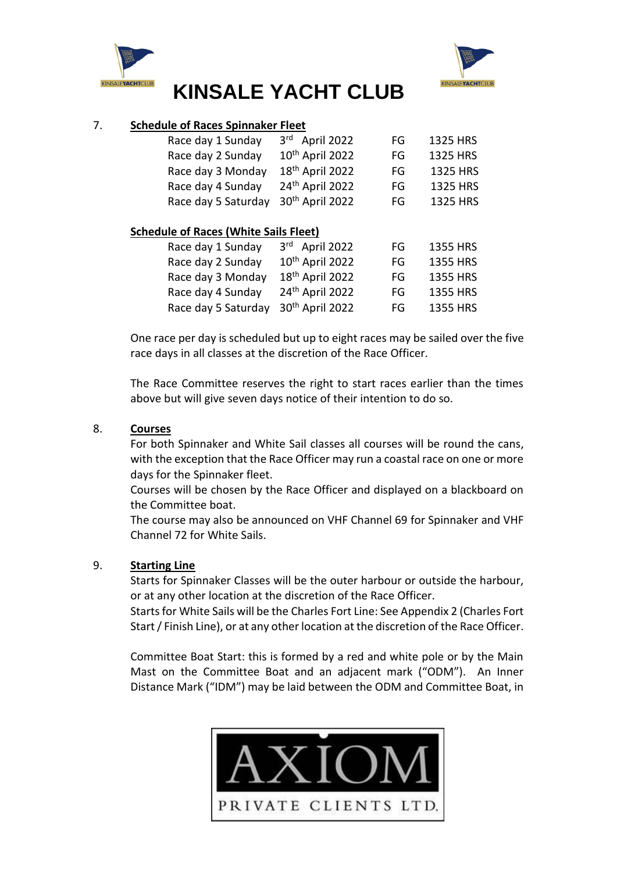



#### 7. **Schedule of Races Spinnaker Fleet**

|                                              | Race day 1 Sunday   | 3rd April 2022                | FG | 1325 HRS |  |  |  |
|----------------------------------------------|---------------------|-------------------------------|----|----------|--|--|--|
|                                              | Race day 2 Sunday   | 10 <sup>th</sup> April 2022   | FG | 1325 HRS |  |  |  |
|                                              | Race day 3 Monday   | 18 <sup>th</sup> April 2022   | FG | 1325 HRS |  |  |  |
|                                              | Race day 4 Sunday   | 24th April 2022               | FG | 1325 HRS |  |  |  |
|                                              | Race day 5 Saturday | 30 <sup>th</sup> April 2022   | FG | 1325 HRS |  |  |  |
| <b>Schedule of Races (White Sails Fleet)</b> |                     |                               |    |          |  |  |  |
|                                              | Race day 1 Sunday   | April 2022<br>3 <sup>rd</sup> | FG | 1355 HRS |  |  |  |
|                                              | Race day 2 Sunday   | 10th April 2022               | FG | 1355 HRS |  |  |  |

| Race day 2 Sunday                               | 10" April 2022              | FG. | 1355 HRS |
|-------------------------------------------------|-----------------------------|-----|----------|
| Race day 3 Monday                               | $18th$ April 2022           | FG. | 1355 HRS |
| Race day 4 Sunday                               | 24 <sup>th</sup> April 2022 | FG. | 1355 HRS |
| Race day 5 Saturday 30 <sup>th</sup> April 2022 |                             | FG  | 1355 HRS |

One race per day is scheduled but up to eight races may be sailed over the five race days in all classes at the discretion of the Race Officer.

The Race Committee reserves the right to start races earlier than the times above but will give seven days notice of their intention to do so.

#### 8. **Courses**

For both Spinnaker and White Sail classes all courses will be round the cans, with the exception that the Race Officer may run a coastal race on one or more days for the Spinnaker fleet.

Courses will be chosen by the Race Officer and displayed on a blackboard on the Committee boat.

The course may also be announced on VHF Channel 69 for Spinnaker and VHF Channel 72 for White Sails.

#### 9. **Starting Line**

Starts for Spinnaker Classes will be the outer harbour or outside the harbour, or at any other location at the discretion of the Race Officer.

Starts for White Sails will be the Charles Fort Line: See Appendix 2 (Charles Fort Start / Finish Line), or at any other location at the discretion of the Race Officer.

Committee Boat Start: this is formed by a red and white pole or by the Main Mast on the Committee Boat and an adjacent mark ("ODM"). An Inner Distance Mark ("IDM") may be laid between the ODM and Committee Boat, in

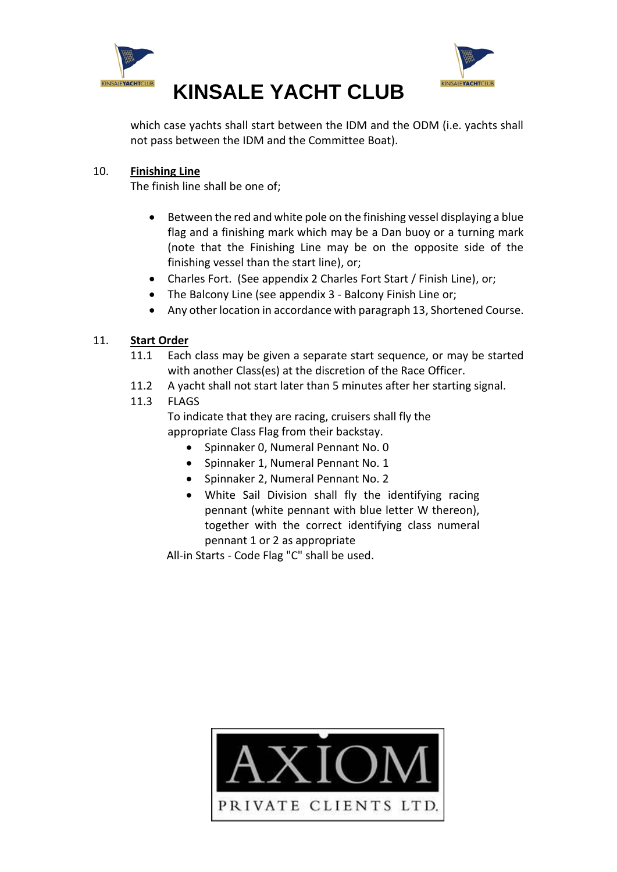



which case yachts shall start between the IDM and the ODM (i.e. yachts shall not pass between the IDM and the Committee Boat).

#### 10. **Finishing Line**

The finish line shall be one of;

- Between the red and white pole on the finishing vessel displaying a blue flag and a finishing mark which may be a Dan buoy or a turning mark (note that the Finishing Line may be on the opposite side of the finishing vessel than the start line), or;
- Charles Fort. (See appendix 2 Charles Fort Start / Finish Line), or;
- The Balcony Line (see appendix 3 Balcony Finish Line or;
- Any other location in accordance with paragraph 13, Shortened Course.

#### 11. **Start Order**

- 11.1 Each class may be given a separate start sequence, or may be started with another Class(es) at the discretion of the Race Officer.
- 11.2 A yacht shall not start later than 5 minutes after her starting signal.

#### 11.3 FLAGS

To indicate that they are racing, cruisers shall fly the appropriate Class Flag from their backstay.

- Spinnaker 0, Numeral Pennant No. 0
- Spinnaker 1, Numeral Pennant No. 1
- Spinnaker 2, Numeral Pennant No. 2
- White Sail Division shall fly the identifying racing pennant (white pennant with blue letter W thereon), together with the correct identifying class numeral pennant 1 or 2 as appropriate

All-in Starts - Code Flag "C" shall be used.

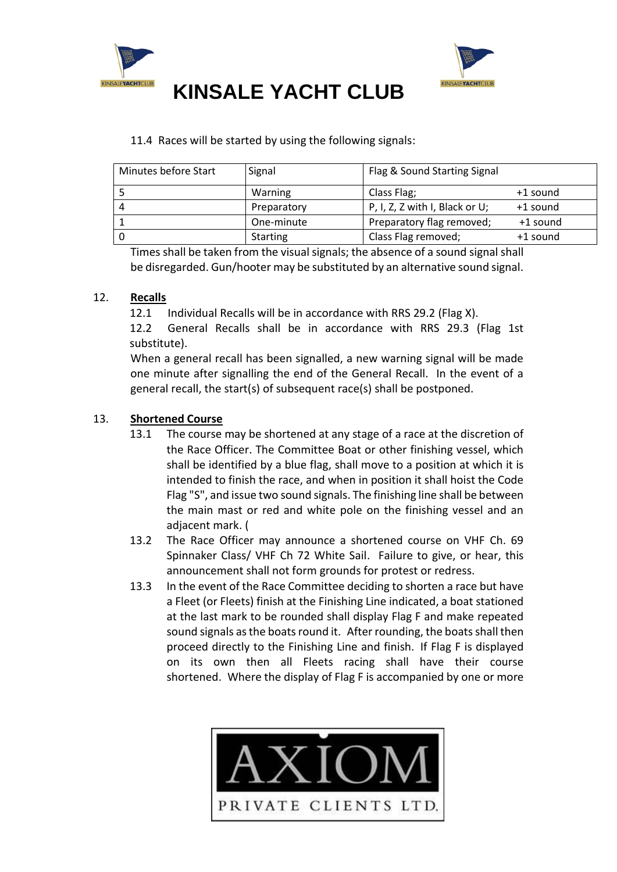



#### 11.4 Races will be started by using the following signals:

| Minutes before Start | Signal          | Flag & Sound Starting Signal      |          |
|----------------------|-----------------|-----------------------------------|----------|
|                      | Warning         | Class Flag;                       | +1 sound |
| $\Delta$             | Preparatory     | P, I, Z, Z with I, Black or $U$ ; | +1 sound |
|                      | One-minute      | Preparatory flag removed;         | +1 sound |
|                      | <b>Starting</b> | Class Flag removed;               | +1 sound |

Times shall be taken from the visual signals; the absence of a sound signal shall be disregarded. Gun/hooter may be substituted by an alternative sound signal.

#### 12. **Recalls**

12.1 Individual Recalls will be in accordance with RRS 29.2 (Flag X).

12.2 General Recalls shall be in accordance with RRS 29.3 (Flag 1st substitute).

When a general recall has been signalled, a new warning signal will be made one minute after signalling the end of the General Recall. In the event of a general recall, the start(s) of subsequent race(s) shall be postponed.

#### 13. **Shortened Course**

- 13.1 The course may be shortened at any stage of a race at the discretion of the Race Officer. The Committee Boat or other finishing vessel, which shall be identified by a blue flag, shall move to a position at which it is intended to finish the race, and when in position it shall hoist the Code Flag "S", and issue two sound signals. The finishing line shall be between the main mast or red and white pole on the finishing vessel and an adjacent mark. (
- 13.2 The Race Officer may announce a shortened course on VHF Ch. 69 Spinnaker Class/ VHF Ch 72 White Sail. Failure to give, or hear, this announcement shall not form grounds for protest or redress.
- 13.3 In the event of the Race Committee deciding to shorten a race but have a Fleet (or Fleets) finish at the Finishing Line indicated, a boat stationed at the last mark to be rounded shall display Flag F and make repeated sound signals as the boats round it. After rounding, the boats shall then proceed directly to the Finishing Line and finish. If Flag F is displayed on its own then all Fleets racing shall have their course shortened. Where the display of Flag F is accompanied by one or more

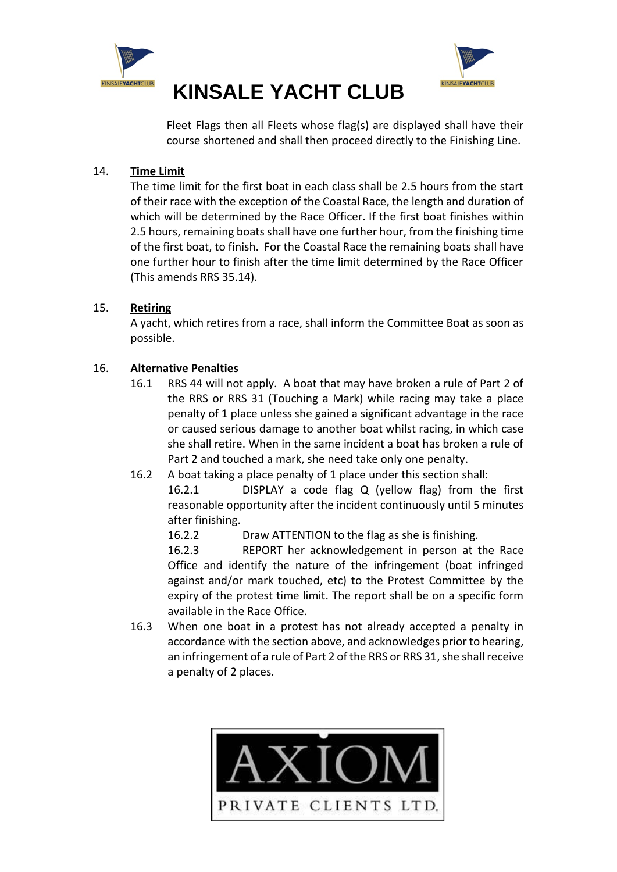



Fleet Flags then all Fleets whose flag(s) are displayed shall have their course shortened and shall then proceed directly to the Finishing Line.

#### 14. **Time Limit**

The time limit for the first boat in each class shall be 2.5 hours from the start of their race with the exception of the Coastal Race, the length and duration of which will be determined by the Race Officer. If the first boat finishes within 2.5 hours, remaining boats shall have one further hour, from the finishing time of the first boat, to finish. For the Coastal Race the remaining boats shall have one further hour to finish after the time limit determined by the Race Officer (This amends RRS 35.14).

#### 15. **Retiring**

A yacht, which retires from a race, shall inform the Committee Boat as soon as possible.

#### 16. **Alternative Penalties**

- 16.1 RRS 44 will not apply. A boat that may have broken a rule of Part 2 of the RRS or RRS 31 (Touching a Mark) while racing may take a place penalty of 1 place unless she gained a significant advantage in the race or caused serious damage to another boat whilst racing, in which case she shall retire. When in the same incident a boat has broken a rule of Part 2 and touched a mark, she need take only one penalty.
- 16.2 A boat taking a place penalty of 1 place under this section shall:

16.2.1 DISPLAY a code flag Q (yellow flag) from the first reasonable opportunity after the incident continuously until 5 minutes after finishing.

16.2.2 Draw ATTENTION to the flag as she is finishing.

16.2.3 REPORT her acknowledgement in person at the Race Office and identify the nature of the infringement (boat infringed against and/or mark touched, etc) to the Protest Committee by the expiry of the protest time limit. The report shall be on a specific form available in the Race Office.

16.3 When one boat in a protest has not already accepted a penalty in accordance with the section above, and acknowledges prior to hearing, an infringement of a rule of Part 2 of the RRS or RRS 31, she shall receive a penalty of 2 places.

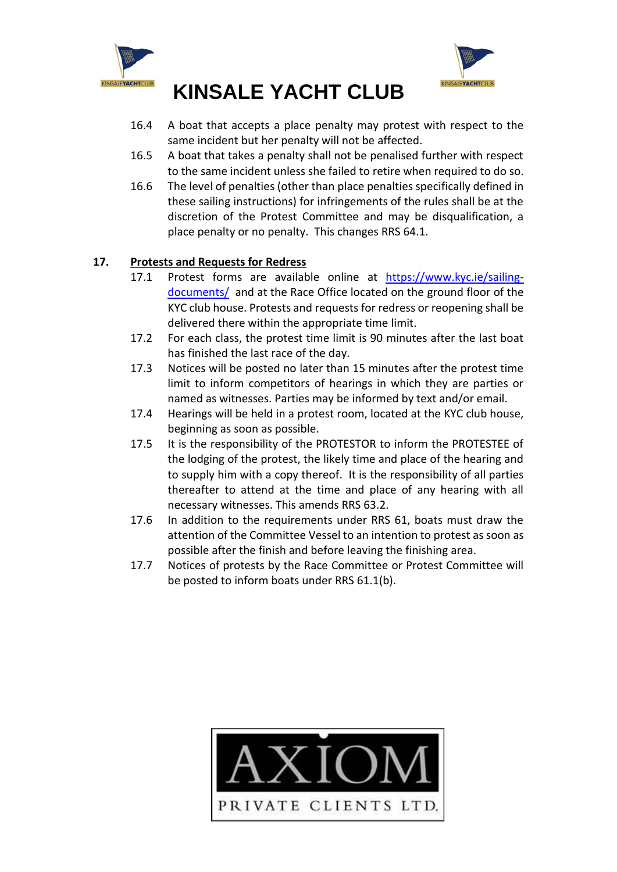



- 16.4 A boat that accepts a place penalty may protest with respect to the same incident but her penalty will not be affected.
- 16.5 A boat that takes a penalty shall not be penalised further with respect to the same incident unless she failed to retire when required to do so.
- 16.6 The level of penalties (other than place penalties specifically defined in these sailing instructions) for infringements of the rules shall be at the discretion of the Protest Committee and may be disqualification, a place penalty or no penalty. This changes RRS 64.1.

#### **17. Protests and Requests for Redress**

- 17.1 Protest forms are available online at [https://www.kyc.ie/sailing](https://www.kyc.ie/sailing-documents/)[documents/](https://www.kyc.ie/sailing-documents/) and at the Race Office located on the ground floor of the KYC club house. Protests and requests for redress or reopening shall be delivered there within the appropriate time limit.
- 17.2 For each class, the protest time limit is 90 minutes after the last boat has finished the last race of the day.
- 17.3 Notices will be posted no later than 15 minutes after the protest time limit to inform competitors of hearings in which they are parties or named as witnesses. Parties may be informed by text and/or email.
- 17.4 Hearings will be held in a protest room, located at the KYC club house, beginning as soon as possible.
- 17.5 It is the responsibility of the PROTESTOR to inform the PROTESTEE of the lodging of the protest, the likely time and place of the hearing and to supply him with a copy thereof. It is the responsibility of all parties thereafter to attend at the time and place of any hearing with all necessary witnesses. This amends RRS 63.2.
- 17.6 In addition to the requirements under RRS 61, boats must draw the attention of the Committee Vessel to an intention to protest as soon as possible after the finish and before leaving the finishing area.
- 17.7 Notices of protests by the Race Committee or Protest Committee will be posted to inform boats under RRS 61.1(b).

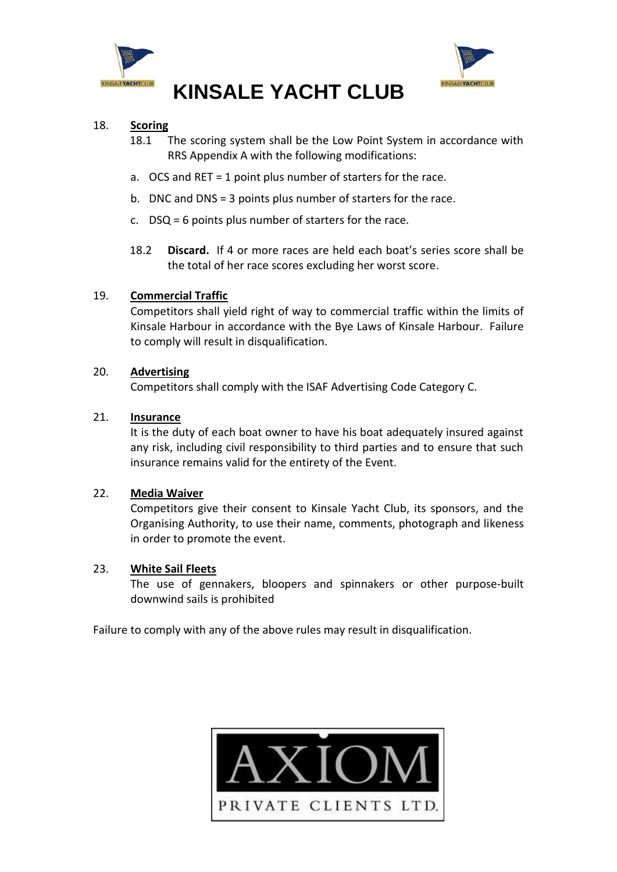



#### 18. **Scoring**

- 18.1 The scoring system shall be the Low Point System in accordance with RRS Appendix A with the following modifications:
- a. OCS and RET = 1 point plus number of starters for the race.
- b. DNC and DNS = 3 points plus number of starters for the race.
- c. DSQ = 6 points plus number of starters for the race.
- 18.2 **Discard.** If 4 or more races are held each boat's series score shall be the total of her race scores excluding her worst score.

#### 19. **Commercial Traffic**

Competitors shall yield right of way to commercial traffic within the limits of Kinsale Harbour in accordance with the Bye Laws of Kinsale Harbour. Failure to comply will result in disqualification.

#### 20. **Advertising**

Competitors shall comply with the ISAF Advertising Code Category C.

#### 21. **Insurance**

It is the duty of each boat owner to have his boat adequately insured against any risk, including civil responsibility to third parties and to ensure that such insurance remains valid for the entirety of the Event.

#### 22. **Media Waiver**

Competitors give their consent to Kinsale Yacht Club, its sponsors, and the Organising Authority, to use their name, comments, photograph and likeness in order to promote the event.

#### 23. **White Sail Fleets**

The use of gennakers, bloopers and spinnakers or other purpose-built downwind sails is prohibited

Failure to comply with any of the above rules may result in disqualification.

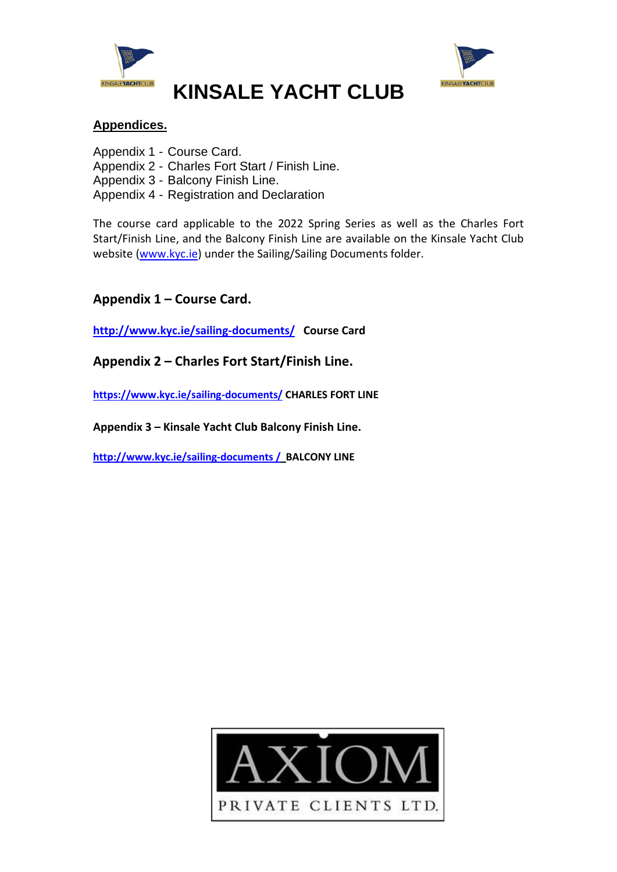



#### **Appendices.**

Appendix 1 - Course Card. Appendix 2 - Charles Fort Start / Finish Line. Appendix 3 - Balcony Finish Line. Appendix 4 - Registration and Declaration

The course card applicable to the 2022 Spring Series as well as the Charles Fort Start/Finish Line, and the Balcony Finish Line are available on the Kinsale Yacht Club website [\(www.kyc.ie\)](http://www.kyc.ie/) under the Sailing/Sailing Documents folder.

### **Appendix 1 – Course Card.**

**[http://www.kyc.ie/s](http://www.kyc.ie/)ailing-documents/ Course Card**

**Appendix 2 – Charles Fort Start/Finish Line.**

**<https://www.kyc.ie/sailing-documents/> CHARLES FORT LINE**

**Appendix 3 – Kinsale Yacht Club Balcony Finish Line.**

**[http://www.kyc.ie/s](http://www.kyc.ie/index.cfm/page/documents)ailing-documents / BALCONY LINE**

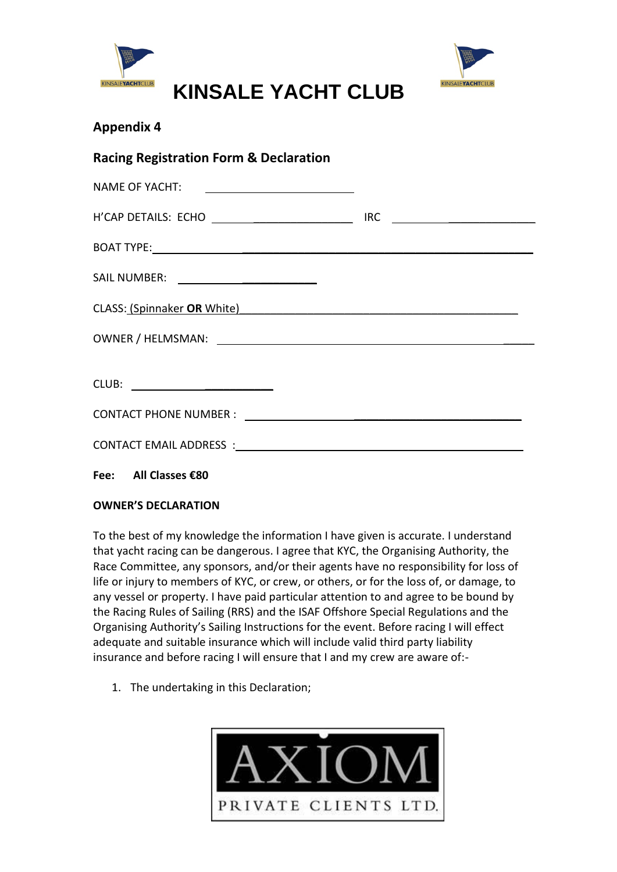



### **Appendix 4**

| <b>Racing Registration Form &amp; Declaration</b>              |  |  |  |  |  |
|----------------------------------------------------------------|--|--|--|--|--|
| NAME OF YACHT: <u>_______________________</u>                  |  |  |  |  |  |
|                                                                |  |  |  |  |  |
|                                                                |  |  |  |  |  |
| SAIL NUMBER: ________________________                          |  |  |  |  |  |
| CLASS: (Spinnaker OR White) <b>Example 2014</b> 2014 2022 2023 |  |  |  |  |  |
|                                                                |  |  |  |  |  |
| CLUB: __________________________                               |  |  |  |  |  |
|                                                                |  |  |  |  |  |
|                                                                |  |  |  |  |  |
|                                                                |  |  |  |  |  |

#### **Fee: All Classes €80**

#### **OWNER'S DECLARATION**

To the best of my knowledge the information I have given is accurate. I understand that yacht racing can be dangerous. I agree that KYC, the Organising Authority, the Race Committee, any sponsors, and/or their agents have no responsibility for loss of life or injury to members of KYC, or crew, or others, or for the loss of, or damage, to any vessel or property. I have paid particular attention to and agree to be bound by the Racing Rules of Sailing (RRS) and the ISAF Offshore Special Regulations and the Organising Authority's Sailing Instructions for the event. Before racing I will effect adequate and suitable insurance which will include valid third party liability insurance and before racing I will ensure that I and my crew are aware of:-

1. The undertaking in this Declaration;

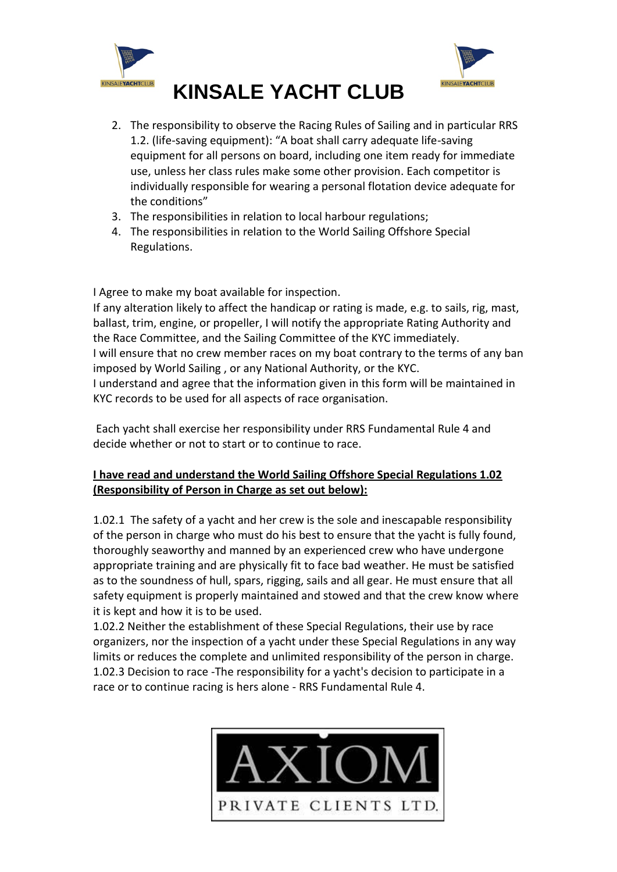



#### 2. The responsibility to observe the Racing Rules of Sailing and in particular RRS 1.2. (life-saving equipment): "A boat shall carry adequate life-saving equipment for all persons on board, including one item ready for immediate use, unless her class rules make some other provision. Each competitor is individually responsible for wearing a personal flotation device adequate for the conditions"

- 3. The responsibilities in relation to local harbour regulations;
- 4. The responsibilities in relation to the World Sailing Offshore Special Regulations.

I Agree to make my boat available for inspection.

If any alteration likely to affect the handicap or rating is made, e.g. to sails, rig, mast, ballast, trim, engine, or propeller, I will notify the appropriate Rating Authority and the Race Committee, and the Sailing Committee of the KYC immediately. I will ensure that no crew member races on my boat contrary to the terms of any ban imposed by World Sailing , or any National Authority, or the KYC. I understand and agree that the information given in this form will be maintained in KYC records to be used for all aspects of race organisation.

Each yacht shall exercise her responsibility under RRS Fundamental Rule 4 and decide whether or not to start or to continue to race.

#### **I have read and understand the World Sailing Offshore Special Regulations 1.02 (Responsibility of Person in Charge as set out below):**

1.02.1 The safety of a yacht and her crew is the sole and inescapable responsibility of the person in charge who must do his best to ensure that the yacht is fully found, thoroughly seaworthy and manned by an experienced crew who have undergone appropriate training and are physically fit to face bad weather. He must be satisfied as to the soundness of hull, spars, rigging, sails and all gear. He must ensure that all safety equipment is properly maintained and stowed and that the crew know where it is kept and how it is to be used.

1.02.2 Neither the establishment of these Special Regulations, their use by race organizers, nor the inspection of a yacht under these Special Regulations in any way limits or reduces the complete and unlimited responsibility of the person in charge. 1.02.3 Decision to race -The responsibility for a yacht's decision to participate in a race or to continue racing is hers alone - RRS Fundamental Rule 4.